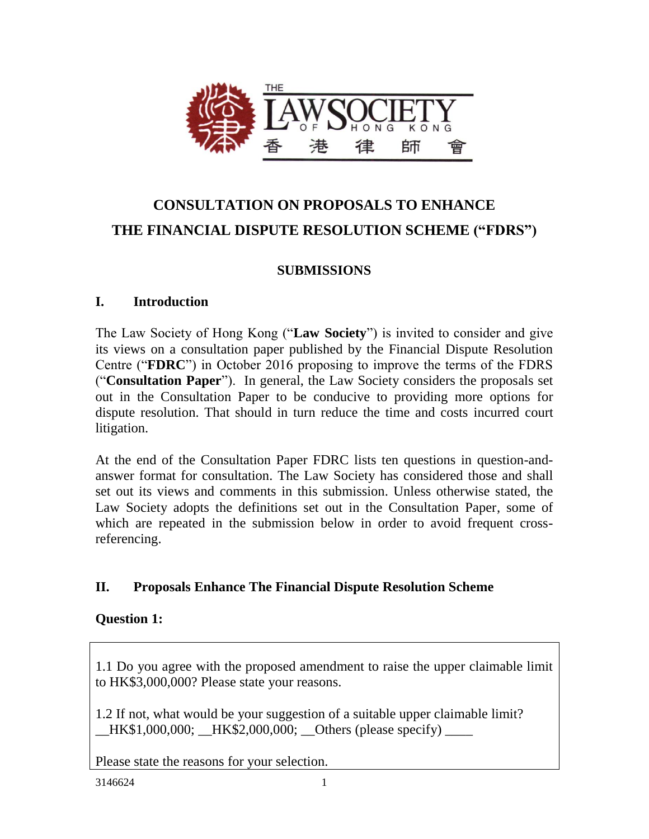

# **CONSULTATION ON PROPOSALS TO ENHANCE THE FINANCIAL DISPUTE RESOLUTION SCHEME ("FDRS")**

## **SUBMISSIONS**

#### **I. Introduction**

The Law Society of Hong Kong ("**Law Society**") is invited to consider and give its views on a consultation paper published by the Financial Dispute Resolution Centre ("**FDRC**") in October 2016 proposing to improve the terms of the FDRS ("**Consultation Paper**"). In general, the Law Society considers the proposals set out in the Consultation Paper to be conducive to providing more options for dispute resolution. That should in turn reduce the time and costs incurred court litigation.

At the end of the Consultation Paper FDRC lists ten questions in question-andanswer format for consultation. The Law Society has considered those and shall set out its views and comments in this submission. Unless otherwise stated, the Law Society adopts the definitions set out in the Consultation Paper, some of which are repeated in the submission below in order to avoid frequent crossreferencing.

## **II. Proposals Enhance The Financial Dispute Resolution Scheme**

## **Question 1:**

1.1 Do you agree with the proposed amendment to raise the upper claimable limit to HK\$3,000,000? Please state your reasons.

1.2 If not, what would be your suggestion of a suitable upper claimable limit? HK\$1,000,000; HK\$2,000,000; Others (please specify)

Please state the reasons for your selection.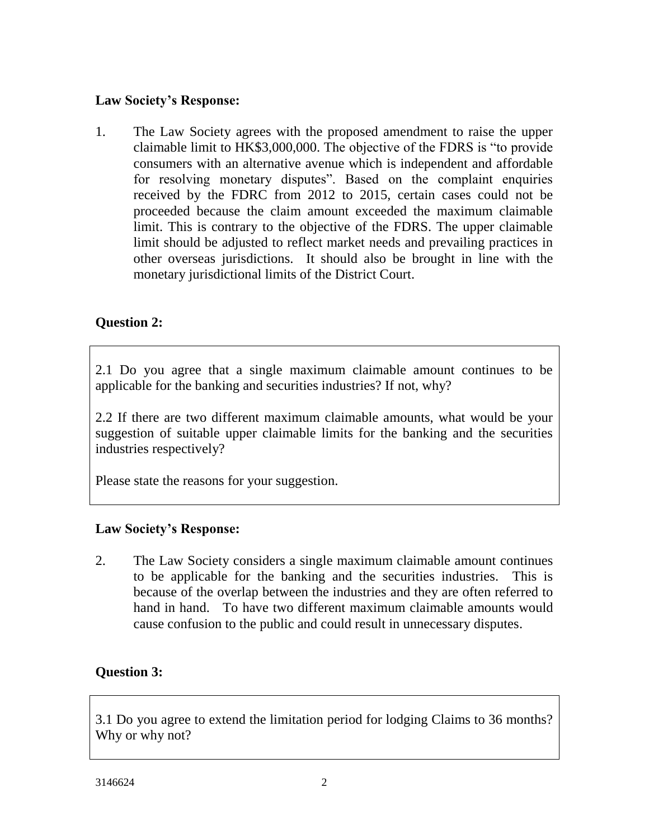## **Law Society's Response:**

1. The Law Society agrees with the proposed amendment to raise the upper claimable limit to HK\$3,000,000. The objective of the FDRS is "to provide consumers with an alternative avenue which is independent and affordable for resolving monetary disputes". Based on the complaint enquiries received by the FDRC from 2012 to 2015, certain cases could not be proceeded because the claim amount exceeded the maximum claimable limit. This is contrary to the objective of the FDRS. The upper claimable limit should be adjusted to reflect market needs and prevailing practices in other overseas jurisdictions. It should also be brought in line with the monetary jurisdictional limits of the District Court.

## **Question 2:**

2.1 Do you agree that a single maximum claimable amount continues to be applicable for the banking and securities industries? If not, why?

2.2 If there are two different maximum claimable amounts, what would be your suggestion of suitable upper claimable limits for the banking and the securities industries respectively?

Please state the reasons for your suggestion.

## **Law Society's Response:**

2. The Law Society considers a single maximum claimable amount continues to be applicable for the banking and the securities industries. This is because of the overlap between the industries and they are often referred to hand in hand. To have two different maximum claimable amounts would cause confusion to the public and could result in unnecessary disputes.

## **Question 3:**

3.1 Do you agree to extend the limitation period for lodging Claims to 36 months? Why or why not?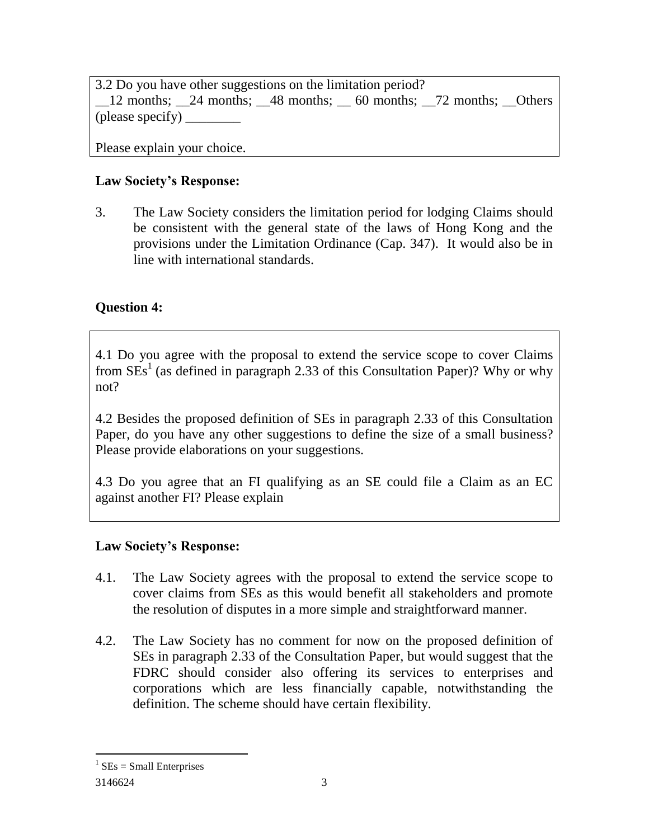3.2 Do you have other suggestions on the limitation period? 12 months; 24 months; 48 months; 60 months; 72 months; Others (please specify)  $\_\_$ 

Please explain your choice.

# **Law Society's Response:**

3. The Law Society considers the limitation period for lodging Claims should be consistent with the general state of the laws of Hong Kong and the provisions under the Limitation Ordinance (Cap. 347). It would also be in line with international standards.

# **Question 4:**

4.1 Do you agree with the proposal to extend the service scope to cover Claims from  $SEs<sup>1</sup>$  (as defined in paragraph 2.33 of this Consultation Paper)? Why or why not?

4.2 Besides the proposed definition of SEs in paragraph 2.33 of this Consultation Paper, do you have any other suggestions to define the size of a small business? Please provide elaborations on your suggestions.

4.3 Do you agree that an FI qualifying as an SE could file a Claim as an EC against another FI? Please explain

# **Law Society's Response:**

- 4.1. The Law Society agrees with the proposal to extend the service scope to cover claims from SEs as this would benefit all stakeholders and promote the resolution of disputes in a more simple and straightforward manner.
- 4.2. The Law Society has no comment for now on the proposed definition of SEs in paragraph 2.33 of the Consultation Paper, but would suggest that the FDRC should consider also offering its services to enterprises and corporations which are less financially capable, notwithstanding the definition. The scheme should have certain flexibility.

 $\overline{a}$ 

 $1$  SEs = Small Enterprises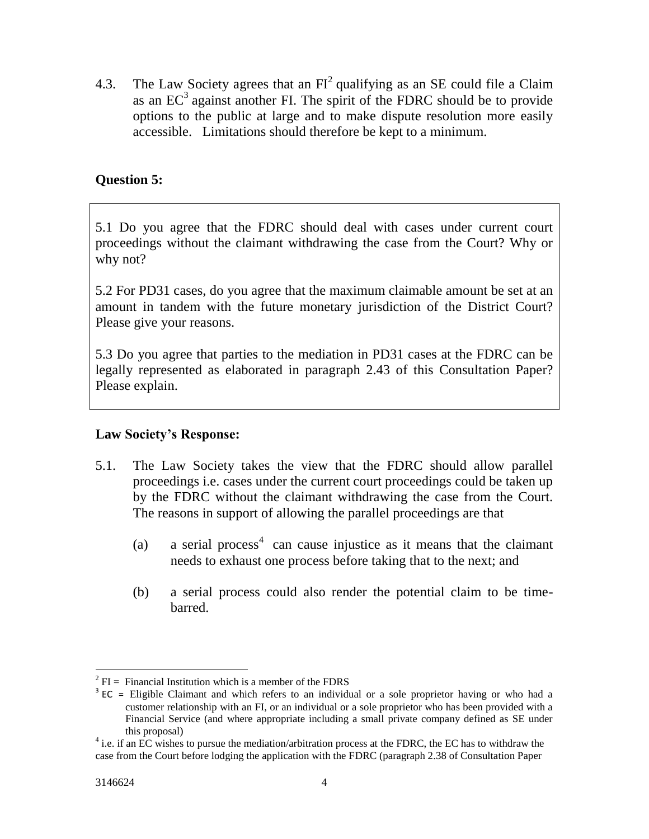4.3. The Law Society agrees that an  $FI^2$  qualifying as an SE could file a Claim as an  $EC<sup>3</sup>$  against another FI. The spirit of the FDRC should be to provide options to the public at large and to make dispute resolution more easily accessible. Limitations should therefore be kept to a minimum.

## **Question 5:**

5.1 Do you agree that the FDRC should deal with cases under current court proceedings without the claimant withdrawing the case from the Court? Why or why not?

5.2 For PD31 cases, do you agree that the maximum claimable amount be set at an amount in tandem with the future monetary jurisdiction of the District Court? Please give your reasons.

5.3 Do you agree that parties to the mediation in PD31 cases at the FDRC can be legally represented as elaborated in paragraph 2.43 of this Consultation Paper? Please explain.

## **Law Society's Response:**

- 5.1. The Law Society takes the view that the FDRC should allow parallel proceedings i.e. cases under the current court proceedings could be taken up by the FDRC without the claimant withdrawing the case from the Court. The reasons in support of allowing the parallel proceedings are that
	- (a) a serial process<sup>4</sup> can cause injustice as it means that the claimant needs to exhaust one process before taking that to the next; and
	- (b) a serial process could also render the potential claim to be timebarred.

 $\overline{a}$  $^2$  FI = Financial Institution which is a member of the FDRS

 $3 \text{ EC}$  = Eligible Claimant and which refers to an individual or a sole proprietor having or who had a customer relationship with an FI, or an individual or a sole proprietor who has been provided with a Financial Service (and where appropriate including a small private company defined as SE under this proposal)

<sup>&</sup>lt;sup>4</sup> i.e. if an EC wishes to pursue the mediation/arbitration process at the FDRC, the EC has to withdraw the case from the Court before lodging the application with the FDRC (paragraph 2.38 of Consultation Paper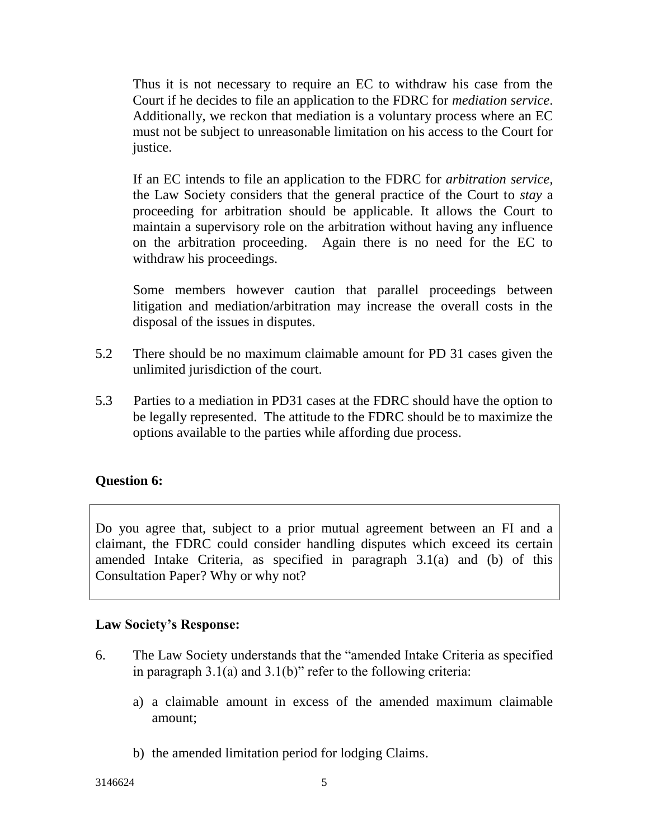Thus it is not necessary to require an EC to withdraw his case from the Court if he decides to file an application to the FDRC for *mediation service*. Additionally, we reckon that mediation is a voluntary process where an EC must not be subject to unreasonable limitation on his access to the Court for justice.

If an EC intends to file an application to the FDRC for *arbitration service,* the Law Society considers that the general practice of the Court to *stay* a proceeding for arbitration should be applicable. It allows the Court to maintain a supervisory role on the arbitration without having any influence on the arbitration proceeding. Again there is no need for the EC to withdraw his proceedings.

Some members however caution that parallel proceedings between litigation and mediation/arbitration may increase the overall costs in the disposal of the issues in disputes.

- 5.2 There should be no maximum claimable amount for PD 31 cases given the unlimited jurisdiction of the court.
- 5.3 Parties to a mediation in PD31 cases at the FDRC should have the option to be legally represented. The attitude to the FDRC should be to maximize the options available to the parties while affording due process.

## **Question 6:**

Do you agree that, subject to a prior mutual agreement between an FI and a claimant, the FDRC could consider handling disputes which exceed its certain amended Intake Criteria, as specified in paragraph 3.1(a) and (b) of this Consultation Paper? Why or why not?

#### **Law Society's Response:**

- 6. The Law Society understands that the "amended Intake Criteria as specified in paragraph 3.1(a) and 3.1(b)" refer to the following criteria:
	- a) a claimable amount in excess of the amended maximum claimable amount;
	- b) the amended limitation period for lodging Claims.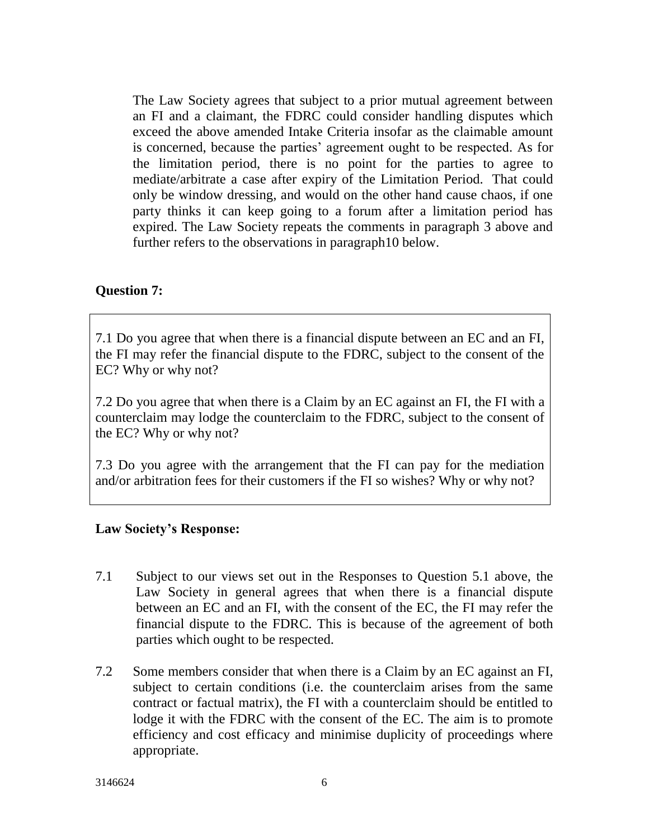The Law Society agrees that subject to a prior mutual agreement between an FI and a claimant, the FDRC could consider handling disputes which exceed the above amended Intake Criteria insofar as the claimable amount is concerned, because the parties' agreement ought to be respected. As for the limitation period, there is no point for the parties to agree to mediate/arbitrate a case after expiry of the Limitation Period. That could only be window dressing, and would on the other hand cause chaos, if one party thinks it can keep going to a forum after a limitation period has expired. The Law Society repeats the comments in paragraph 3 above and further refers to the observations in paragraph10 below.

## **Question 7:**

7.1 Do you agree that when there is a financial dispute between an EC and an FI, the FI may refer the financial dispute to the FDRC, subject to the consent of the EC? Why or why not?

7.2 Do you agree that when there is a Claim by an EC against an FI, the FI with a counterclaim may lodge the counterclaim to the FDRC, subject to the consent of the EC? Why or why not?

7.3 Do you agree with the arrangement that the FI can pay for the mediation and/or arbitration fees for their customers if the FI so wishes? Why or why not?

#### **Law Society's Response:**

- 7.1 Subject to our views set out in the Responses to Question 5.1 above, the Law Society in general agrees that when there is a financial dispute between an EC and an FI, with the consent of the EC, the FI may refer the financial dispute to the FDRC. This is because of the agreement of both parties which ought to be respected.
- 7.2 Some members consider that when there is a Claim by an EC against an FI, subject to certain conditions (i.e. the counterclaim arises from the same contract or factual matrix), the FI with a counterclaim should be entitled to lodge it with the FDRC with the consent of the EC. The aim is to promote efficiency and cost efficacy and minimise duplicity of proceedings where appropriate.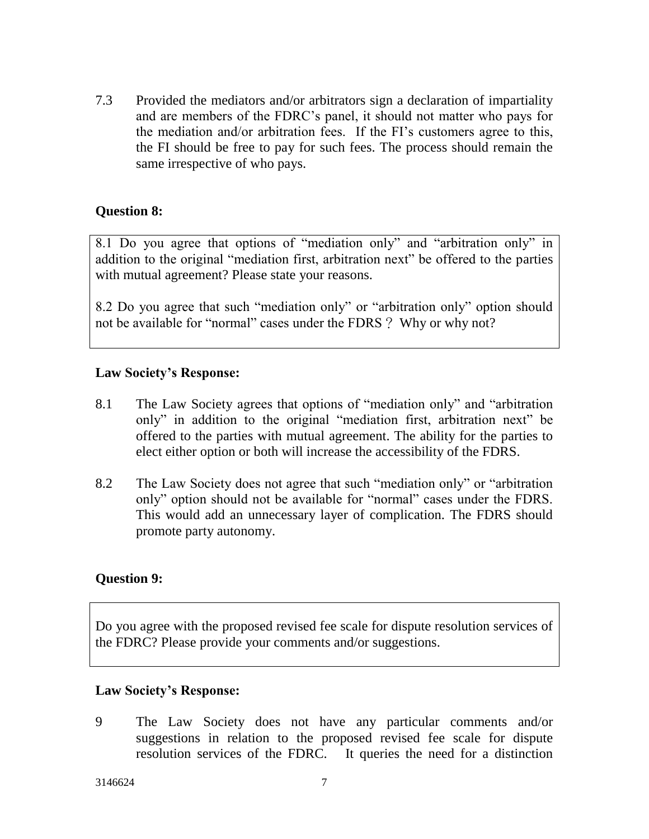7.3 Provided the mediators and/or arbitrators sign a declaration of impartiality and are members of the FDRC's panel, it should not matter who pays for the mediation and/or arbitration fees. If the FI's customers agree to this, the FI should be free to pay for such fees. The process should remain the same irrespective of who pays.

## **Question 8:**

8.1 Do you agree that options of "mediation only" and "arbitration only" in addition to the original "mediation first, arbitration next" be offered to the parties with mutual agreement? Please state your reasons.

8.2 Do you agree that such "mediation only" or "arbitration only" option should not be available for "normal" cases under the FDRS? Why or why not?

#### **Law Society's Response:**

- 8.1 The Law Society agrees that options of "mediation only" and "arbitration only" in addition to the original "mediation first, arbitration next" be offered to the parties with mutual agreement. The ability for the parties to elect either option or both will increase the accessibility of the FDRS.
- 8.2 The Law Society does not agree that such "mediation only" or "arbitration only" option should not be available for "normal" cases under the FDRS. This would add an unnecessary layer of complication. The FDRS should promote party autonomy.

#### **Question 9:**

Do you agree with the proposed revised fee scale for dispute resolution services of the FDRC? Please provide your comments and/or suggestions.

#### **Law Society's Response:**

9 The Law Society does not have any particular comments and/or suggestions in relation to the proposed revised fee scale for dispute resolution services of the FDRC. It queries the need for a distinction

3146624 7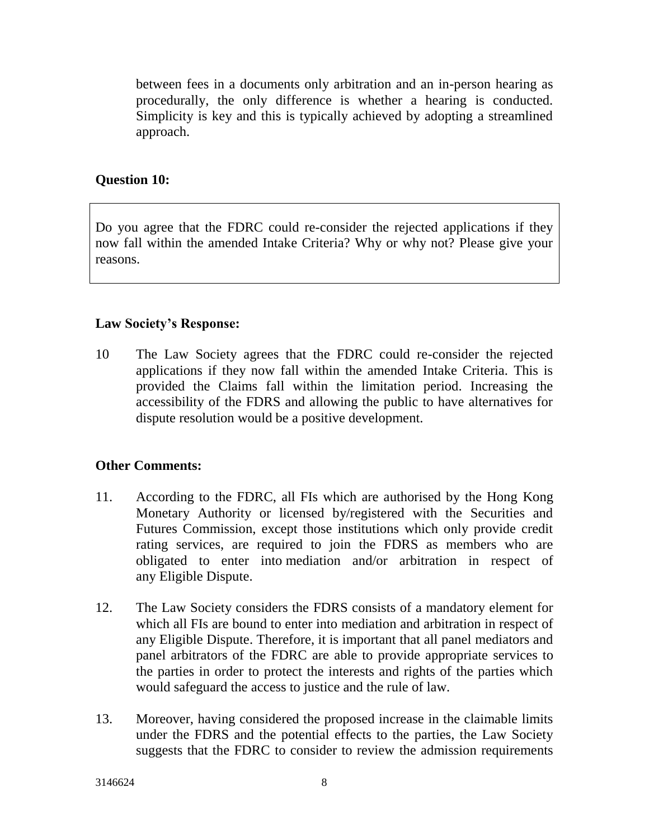between fees in a documents only arbitration and an in-person hearing as procedurally, the only difference is whether a hearing is conducted. Simplicity is key and this is typically achieved by adopting a streamlined approach.

## **Question 10:**

Do you agree that the FDRC could re-consider the rejected applications if they now fall within the amended Intake Criteria? Why or why not? Please give your reasons.

#### **Law Society's Response:**

10 The Law Society agrees that the FDRC could re-consider the rejected applications if they now fall within the amended Intake Criteria. This is provided the Claims fall within the limitation period. Increasing the accessibility of the FDRS and allowing the public to have alternatives for dispute resolution would be a positive development.

## **Other Comments:**

- 11. According to the FDRC, all FIs which are authorised by the Hong Kong Monetary Authority or licensed by/registered with the Securities and Futures Commission, except those institutions which only provide credit rating services, are required to join the FDRS as members who are obligated to enter into [mediation](http://www.fdrc.org.hk/en/doc/FDRC_ToR_Section_A_en.pdf) and/or [arbitration](http://www.fdrc.org.hk/en/doc/FDRC_ToR_Section_A_en.pdf) in respect of any [Eligible Dispute.](http://www.fdrc.org.hk/en/doc/FDRC_ToR_Section_A_en.pdf)
- 12. The Law Society considers the FDRS consists of a mandatory element for which all FIs are bound to enter into mediation and arbitration in respect of any [Eligible Dispute.](http://www.fdrc.org.hk/en/doc/FDRC_ToR_Section_A_en.pdf) Therefore, it is important that all panel mediators and panel arbitrators of the FDRC are able to provide appropriate services to the parties in order to protect the interests and rights of the parties which would safeguard the access to justice and the rule of law.
- 13. Moreover, having considered the proposed increase in the claimable limits under the FDRS and the potential effects to the parties, the Law Society suggests that the FDRC to consider to review the admission requirements